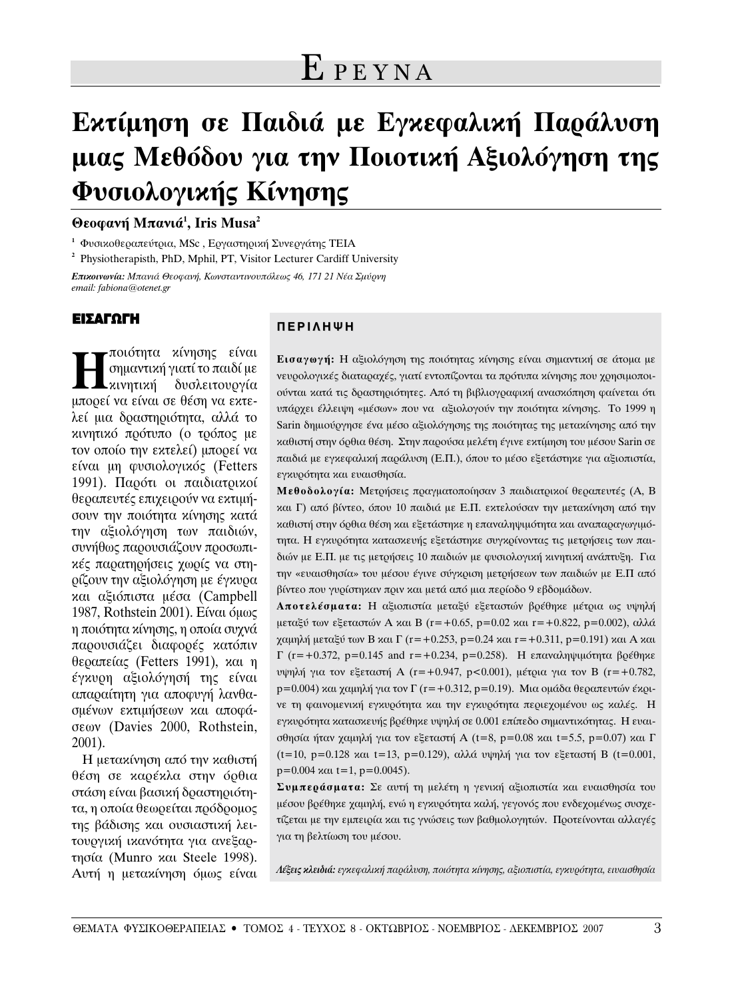# **Εκτίμηση σε Παιδιά με Εγκεφαλική Παράλυση μιας Μεθόδου για την Ποιοτική Αξιολόγηση της** Φυσιολογικής Κίνησης

**Θεοφανή Μπανιά<sup>1</sup>, Iris Musa<sup>2</sup>** 

<sup>1</sup> Φυσικοθεραπεύτρια, MSc, Εργαστηρική Συνεργάτης ΤΕΙΑ

**<sup>2</sup>** Physiotherapisth, PhD, Mphil, PT, Visitor Lecturer Cardiff University

*Επικοινωνία: Μπανιά Θεοφανή, Κωνσταντινουπόλεως 46, 171 21 Νέα Σμύρνη email: fabiona@otenet.gr*

#### ΕΙΣΑΓΩΓΗ

∐∏ποιότητα κίνησης είναι<br>| σημαντική γιατί το παιδί με<br>| προεί να είναι σε θέση να εντε σημαντική γιατί το παιδί με μπορεί να είναι σε θέση να εκτελεί μια δραστηριότητα, αλλά το κινητικό πρότυπο (ο τρόπος με τον οποίο την εκτελεί) μπορεί να είναι μη φυσιολογικός (Fetters 1991). Παρότι οι παιδιατρικοί θεραπευτές επιχειρούν να εκτιμήσουν την ποιότητα κίνησης κατά την αξιολόγηση των παιδιών, συνήθως παρουσιάζουν προσωπινές παρατηρήσεις χωρίς να στηρίζουν την αξιολόγηση με έγκυρα και αξιόπιστα μέσα (Campbell 1987, Rothstein 2001). Είναι όμως η ποιότητα κίνησης, η οποία συχνά παρουσιάζει διαφορές κατόπιν  $θ$ εραπείας (Fetters 1991), και η έγκυρη αξιολόγησή της είναι  $\alpha$ παραίτητη για αποφυγή λανθασμένων εκτιμήσεων και αποφάσεων (Davies 2000, Rothstein, 2001).

Η μετακίνηση από την καθιστή θέση σε καρέκλα στην όρθια στάση είναι βασική δραστηριότητα, η οποία θεωρείται πρόδρομος της βάδισης και ουσιαστική λειτουργική ικανότητα για ανεξαρτησία (Munro και Steele 1998). Αυτή η μετακίνηση όμως είναι

#### **ΠΕΡΙΛΗΨΗ**

Εισαγωγή: Η αξιολόγηση της ποιότητας κίνησης είναι σημαντική σε άτομα με νευρολογικές διαταραχές, γιατί εντοπίζονται τα πρότυπα κίνησης που χρησιμοποιούνται κατά τις δραστηριότητες. Από τη βιβλιογραφική ανασκόπηση φαίνεται ότι υπάρχει έλλειψη «μέσων» που να αξιολογούν την ποιότητα κίνησης. Το 1999 η Sarin δημιούργησε ένα μέσο αξιολόγησης της ποιότητας της μετακίνησης από την καθιστή στην όρθια θέση. Στην παρούσα μελέτη έγινε εκτίμηση του μέσου Sarin σε παιδιά με εγκεφαλική παράλυση (Ε.Π.), όπου το μέσο εξετάστηκε για αξιοπιστία, εγκυρότητα και ευαισθησία.

**Μεθοδολογία:** Μετρήσεις πραγματοποίησαν 3 παιδιατρικοί θεραπευτές (Α, Β και Γ) από βίντεο, όπου 10 παιδιά με Ε.Π. εκτελούσαν την μετακίνηση από την καθιστή στην όρθια θέση και εξετάστηκε η επαναληψιμότητα και αναπαραγωγιμότητα. Η εγκυρότητα κατασκευής εξετάστηκε συγκρίνοντας τις μετρήσεις των παιδιών με Ε.Π. με τις μετρήσεις 10 παιδιών με φυσιολογική κινητική ανάπτυξη. Για την «ευαισθησία» του μέσου έγινε σύγκριση μετρήσεων των παιδιών με Ε.Π από βίντεο που γυρίστηκαν πριν και μετά από μια περίοδο 9 εβδομάδων.

**Αποτελέσματα:** Η αξιοπιστία μεταξύ εξεταστών βρέθηκε μέτρια ως υψηλή μεταξύ των εξεταστών Α και Β (r=+0.65, p=0.02 και r=+0.822, p=0.002), αλλά χαμηλή μεταξύ των Β και Γ (r=+0.253, p=0.24 και r=+0.311, p=0.191) και Α και  $\Gamma$  (r=+0.372, p=0.145 and r=+0.234, p=0.258). Η επαναληψιμότητα βρέθηκε υψηλή για τον εξεταστή Α (r=+0.947, p<0.001), μέτρια για τον Β (r=+0.782, p=0.004) και χαμηλή για τον Γ (r=+0.312, p=0.19). Μια ομάδα θεραπευτών έκρινε τη φαινομενική εγκυρότητα και την εγκυρότητα περιεχομένου ως καλές. Η εγκυρότητα κατασκευής βρέθηκε υψηλή σε 0.001 επίπεδο σημαντικότητας. Η ευαισθησία ήταν χαμηλή για τον εξεταστή A (t=8, p=0.08 και t=5.5, p=0.07) και Γ  $(t=10, p=0.128$  και  $t=13$ ,  $p=0.129$ ), αλλά υψηλή για τον εξεταστή Β (t=0.001,  $p=0.004$   $\kappa \alpha t=1$ ,  $p=0.0045$ ).

Συμπεράσματα: Σε αυτή τη μελέτη η γενική αξιοπιστία και ευαισθησία του μέσου βρέθηκε χαμηλή, ενώ η εγκυρότητα καλή, γεγονός που ενδεχομένως συσχετίζεται με την εμπειρία και τις γνώσεις των βαθμολογητών. Προτείνονται αλλαγές για τη βελτίωση του μέσου.

*Λέξεις κλειδιά: εγκεφαλική παράλ*υση, ποιότητα κίνησης, αξιοπιστία, εγκυρότητα, ειυαισθησία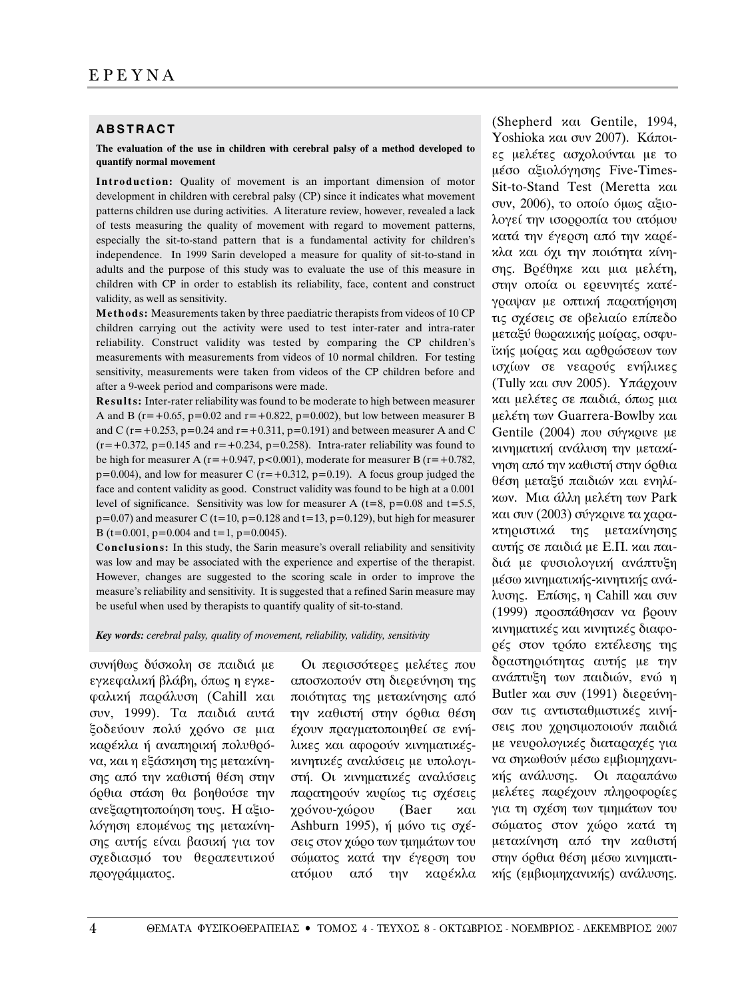#### **ABSTRACT**

**The evaluation of the use in children with cerebral palsy of a method developed to quantify normal movement** 

**Introduction:** Quality of movement is an important dimension of motor development in children with cerebral palsy (CP) since it indicates what movement patterns children use during activities. A literature review, however, revealed a lack of tests measuring the quality of movement with regard to movement patterns, especially the sit-to-stand pattern that is a fundamental activity for children's independence. In 1999 Sarin developed a measure for quality of sit-to-stand in adults and the purpose of this study was to evaluate the use of this measure in children with CP in order to establish its reliability, face, content and construct validity, as well as sensitivity.

**Methods:** Measurements taken by three paediatric therapists from videos of 10 CP children carrying out the activity were used to test inter-rater and intra-rater reliability. Construct validity was tested by comparing the CP children's measurements with measurements from videos of 10 normal children. For testing sensitivity, measurements were taken from videos of the CP children before and after a 9-week period and comparisons were made.

**Results:** Inter-rater reliability was found to be moderate to high between measurer A and B ( $r = +0.65$ ,  $p = 0.02$  and  $r = +0.822$ ,  $p = 0.002$ ), but low between measurer B and C ( $r = +0.253$ ,  $p = 0.24$  and  $r = +0.311$ ,  $p = 0.191$ ) and between measurer A and C  $(r=+0.372, p=0.145$  and  $r=+0.234, p=0.258$ ). Intra-rater reliability was found to be high for measurer A ( $r = +0.947$ ,  $p < 0.001$ ), moderate for measurer B ( $r = +0.782$ ,  $p=0.004$ ), and low for measurer C ( $r=+0.312$ ,  $p=0.19$ ). A focus group judged the face and content validity as good. Construct validity was found to be high at a 0.001 level of significance. Sensitivity was low for measurer A ( $t=8$ ,  $p=0.08$  and  $t=5.5$ ,  $p=0.07$ ) and measurer C (t=10,  $p=0.128$  and t=13,  $p=0.129$ ), but high for measurer B (t=0.001, p=0.004 and t=1, p=0.0045).

**Conclusions:** In this study, the Sarin measure's overall reliability and sensitivity was low and may be associated with the experience and expertise of the therapist. However, changes are suggested to the scoring scale in order to improve the measure's reliability and sensitivity. It is suggested that a refined Sarin measure may be useful when used by therapists to quantify quality of sit-to-stand.

*Key words: cerebral palsy, quality of movement, reliability, validity, sensitivity*

συνήθως δύσκολη σε παιδιά με εγκεφαλική βλάβη, όπως η εγκεφαλική παράλυση (Cahill και συν, 1999). Τα παιδιά αυτά ξοδεύουν πολύ χρόνο σε μια καρέκλα ή αναπηρική πολυθρόνα, και η εξάσκηση της μετακίνησης από την καθιστή θέση στην όρθια στάση θα βοηθούσε την ανεξαρτητοποίηση τους. Η αξιολόγηση επομένως της μετακίνησης αυτής είναι βασική για τον σχεδιασμό του θεραπευτικού προγράμματος.

Oι περισσότερες μελέτες που αποσκοπούν στη διερεύνηση της ποιότητας της μετακίνησης από την καθιστή στην όρθια θέση έχουν πραγματοποιηθεί σε ενήλικες και αφορούν κινηματικέςκινητικές αναλύσεις με υπολογιστή. Οι κινηματικές αναλύσεις παρατηρούν κυρίως τις σγέσεις χρόνου-χώρου (Baer και Ashburn 1995), ή μόνο τις σχέσεις στον χώρο των τμημάτων του σώματος κατά την έγερση του ατόμου από την καρέκλα

(Shepherd  $x\alpha$  Gentile, 1994, Yoshioka και συν 2007). Κάποιες μελέτες ασχολούνται με το  $\mu$ έσο αξιολόγησης Five-Times-Sit-to-Stand Test (Meretta και συν, 2006), το οποίο όμως αξιολογεί την ισορροπία του ατόμου κατά την έγερση από την καρέκλα και όχι την ποιότητα κίνησης. Βρέθηκε και μια μελέτη, στην οποία οι ερευνητές κατέγραψαν με οπτική παρατήρηση τις σχέσεις σε οβελιαίο επίπεδο μεταξύ θωρακικής μοίρας, οσφυϊκής μοίρας και αρθρώσεων των ισχίων σε νεαρούς ενήλικες (Tully και συν 2005). Υπάρχουν και μελέτες σε παιδιά, όπως μια μελέτη των Guarrera-Bowlby και Gentile  $(2004)$  που σύγκρινε με κινηματική ανάλυση την μετακίνηση από την καθιστή στην όρθια θέση μεταξύ παιδιών και ενηλίκων. Μια άλλη μελέτη των Park και συν (2003) σύγκρινε τα χαρακτηριστικά της μετακίνησης αυτής σε παιδιά με Ε.Π. και παιδιά με φυσιολογική ανάπτυξη μέσω κινηματικής-κινητικής ανάλυσης. Επίσης, η Cahill και συν (1999) προσπάθησαν να βρουν κινηματικές και κινητικές διαφορές στον τρόπο εκτέλεσης της δραστηριότητας αυτής με την ανάπτυξη των παιδιών, ενώ η Butler  $x\alpha\alpha$  ovv (1991) διερεύνησαν τις αντισταθμιστικές κινήσεις που χρησιμοποιούν παιδιά με νευρολογικές διαταραχές για να σηκωθούν μέσω εμβιομηχανικής ανάλυσης. Οι παραπάνω μελέτες παρέχουν πληροφορίες για τη σχέση των τμημάτων του σώματος στον χώρο κατά τη μετακίνηση από την καθιστή στην όρθια θέση μέσω κινηματικής (εμβιομηχανικής) ανάλυσης.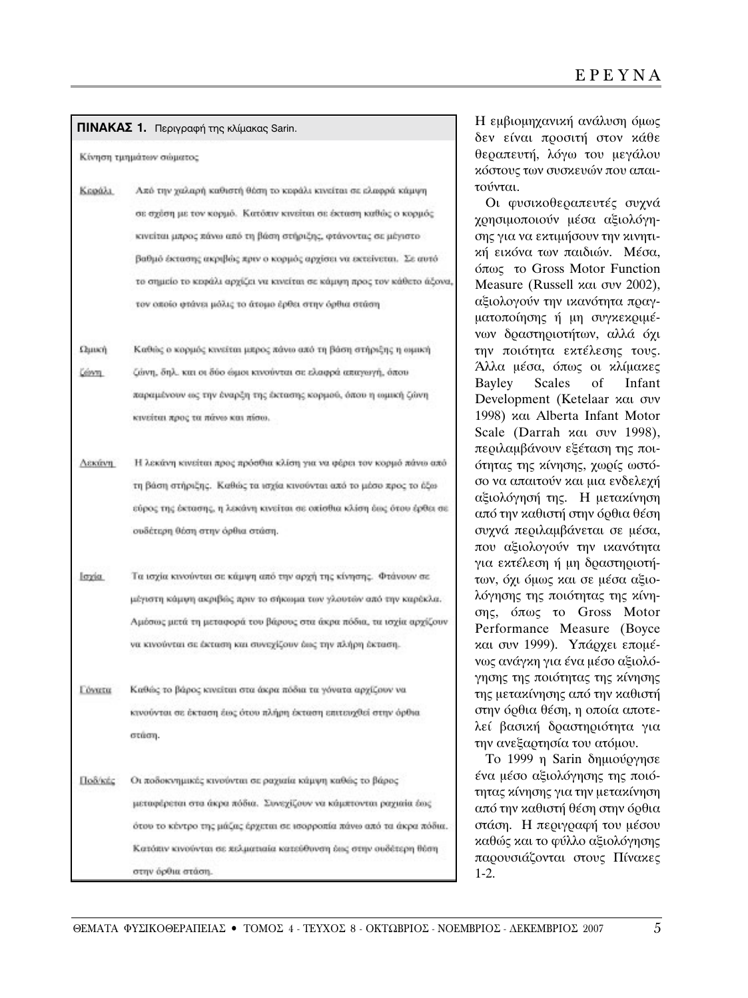|                 | <b>ΠΙΝΑΚΑΣ 1.</b> Περιγραφή της κλίμακας Sarin.                         | Η εμβιομηχανική ανάλυση όμως<br>δεν είναι προσιτή στον κάθε                                    |
|-----------------|-------------------------------------------------------------------------|------------------------------------------------------------------------------------------------|
|                 | Κίνηση τμημάτων σώματος                                                 | θεραπευτή, λόγω του μεγάλου<br>κόστους των συσκευών που απαι-                                  |
| Κεφάλι          | Από την χαλαρή καθιστή θέση το κυράλι κινείται σε ελαφρά κάμψη          | τούνται.                                                                                       |
|                 | σε σχέση με τον κορμό. Κατόπιν κινείται σε έκταση καθώς ο κορμός        | Οι φυσικοθεραπευτές συχνά<br>χρησιμοποιούν μέσα αξιολόγη-                                      |
|                 | κινείται μπρος πάνω από τη βάση στήριξης, φτάνοντας σε μέγιστο          | σης για να εκτιμήσουν την κινητι-                                                              |
|                 | βαθμό έκτασης ακριβώς πριν ο κορμός αρχίσει να εκτείνεται. Σε αυτό      | κή εικόνα των παιδιών. Μέσα,                                                                   |
|                 | το σημείο το κεφάλι αρχίζει να κινείται σε κάμψη προς τον κάθετο άξονα, | όπως το Gross Motor Function<br>Measure (Russell και συν 2002),                                |
|                 | τον οποίο φτάνει μόλις το άτομο έρθει στην όρθια στάση                  | αξιολογούν την ικανότητα πραγ-<br>ματοποίησης ή μη συγκεκριμέ-<br>νων δραστηριοτήτων, αλλά όχι |
| Ωшкή            | Καθώς ο κορμός κινείται μερος πάνω από τη βάση στήριξης η ωμική         | την ποιότητα εκτέλεσης τους.                                                                   |
| eavn.           | ζάνη, δηλ. και οι δύο ώμοι κινούνται σε ελαφρά απαγωγή, όπου            | Άλλα μέσα, όπως οι κλίμακες                                                                    |
|                 | παραμένουν ως την έναρξη της έκτασης κορμού, όπου η ωμική ζώνη          | <b>Scales</b><br>Bayley<br>of<br>Infant<br>Development (Ketelaar και συν                       |
|                 | κινείται προς τα πάνω και πίσω.                                         | 1998) και Alberta Infant Motor                                                                 |
|                 |                                                                         | Scale (Darrah xau ovv 1998),<br>περιλαμβάνουν εξέταση της ποι-                                 |
| Лакалт          | Η λεκάνη κινείται προς πρόσθια κλίση για να φέρει τον κορμό πάνω από    | ότητας της κίνησης, χωρίς ωστό-                                                                |
|                 | τη βάση στήριξης. Καθώς τα ισχία κινούνται από το μέσο προς το έξω      | σο να απαιτούν και μια ενδελεχή<br>αξιολόγησή της. Η μετακίνηση                                |
|                 | εύρος της έκτασης, η λεκάνη κινείται σε οπίσθια κλίση έως ότου έρθει σε | από την καθιστή στην όρθια θέση                                                                |
|                 | ουδέτερη θέση στην όρθια στάση.                                         | συχνά περιλαμβάνεται σε μέσα,<br>που αξιολογούν την ικανότητα                                  |
| loyiu.          | Τα ισχία κινούνται σε κάμψη από την αρχή της κίνησης. Φτάνουν σε        | για εκτέλεση ή μη δραστηριοτή-<br>των, όχι όμως και σε μέσα αξιο-                              |
|                 | μέγιστη κάμψη ακριβώς πριν το σήκωμα των γλουτών από την καρέκλα.       | λόγησης της ποιότητας της κίνη-<br>σης, όπως το Gross Motor                                    |
|                 | Αμόσως μετά τη μεταφορά του βάρους στα άκρα πόδια, τα ισχία αρχίζουν    | Performance Measure (Boyce                                                                     |
|                 | να κινούνται σε έκταση και συνεχίζουν έως την πλήρη έκταση.             | και συν 1999). Υπάρχει επομέ-<br>νως ανάγκη για ένα μέσο αξιολό-                               |
| <b>L'Ovuttu</b> | Καθώς το βάρος κινείται στα άκρα πόδια τα γόνατα αρχίζουν να            | γησης της ποιότητας της κίνησης<br>της μετακίνησης από την καθιστή                             |
|                 | κινούνται σε έκταση έως ότου πλήρη έκταση επιτευχθεί στην όρθια         | στην όρθια θέση, η οποία αποτε-                                                                |
|                 | στώση.                                                                  | λεί βασική δραστηριότητα για<br>την ανεξαρτησία του ατόμου.<br>Το 1999 η Sarin δημιούργησε     |
| Llo8/ktc        | Οι ποδοκνημικές κινούνται σε ραχιαία κάμψη καθώς το βάρος               | ένα μέσο αξιολόγησης της ποιό-                                                                 |
|                 | μεταφέρεται στα άκρα πόδια. Συνεχίζουν να κάμπτονται ραχιαία έως        | τητας κίνησης για την μετακίνηση<br>από την καθιστή θέση στην όρθια                            |
|                 | ότου το κέντρο της μάζας έρχεται σε ισορροπία πάνω από τα άκρα πόδια.   | στάση. Η περιγραφή του μέσου                                                                   |
|                 | Κατόπιν κινούνται σε πελματιαία κατεύθυνση έως στην ουδέτερη θέση       | καθώς και το φύλλο αξιολόγησης                                                                 |
|                 | στην όρθια στάση.                                                       | παρουσιάζονται στους Πίνακες<br>$1-2.$                                                         |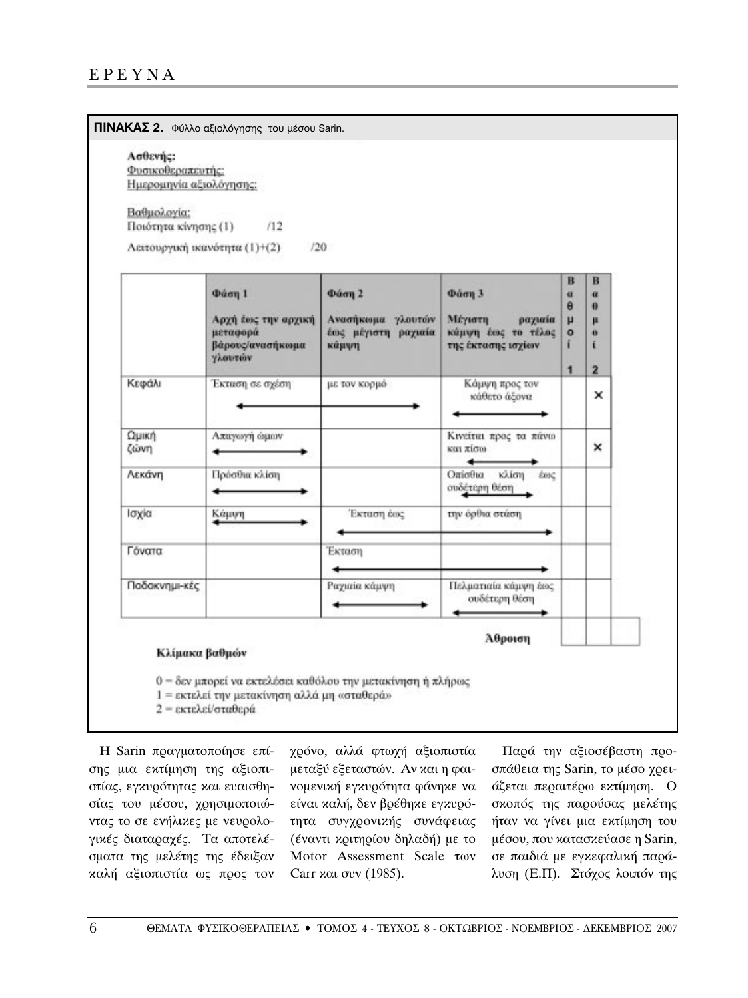| Ασθενής:<br>Φυσικοθεραπευτής:<br>Ημερομηνία αξιολόγησης:     |                     |                     |                                                  |               |                |  |  |
|--------------------------------------------------------------|---------------------|---------------------|--------------------------------------------------|---------------|----------------|--|--|
| Βαθμολογία:                                                  | /12                 |                     |                                                  |               |                |  |  |
| Ποιότητα κίνησης (1)<br>Λειτουργική ικανότητα (1)+(2)<br>/20 |                     |                     |                                                  |               |                |  |  |
|                                                              |                     |                     |                                                  | B             | B              |  |  |
|                                                              | Φάση 1              | Φάση 2              | Φάση 3                                           | $\alpha$      | $\alpha$       |  |  |
|                                                              | Αρχή έως την αρχική | Ανασήκομα γλουτόν   | Μέγιστη<br>ραχιαία                               | $\theta$<br>μ | $\theta$<br>μ  |  |  |
|                                                              | μεταφορά            | έως μέγιστη ραχιαία | κάμψη έως το τέλος                               | $\circ$       | $\mathbf{o}$   |  |  |
|                                                              | βάρους/ανασήκοιμα   | κάμψη               | της έκτασης ισχίων                               | í.            | ť              |  |  |
|                                                              | γλουτών             |                     |                                                  | $\mathbf{1}$  | $\overline{2}$ |  |  |
| Κεφάλι                                                       | Έκταση σε σχέση     | με τον κορμό        | Κάμψη προς τον<br>κάθετο άξονα                   |               | ×              |  |  |
| Ωμική<br>ζώνη                                                | Απαγωγή ώμων        |                     | Κινείται προς τα πάνω<br>και πίσω                |               | ×              |  |  |
| Λεκάνη                                                       | Πρόσθια κλίση       |                     | Οπίσθια<br>κλίση<br><b>SOIC</b><br>ουδέτερη θέση |               |                |  |  |
| Ισχία                                                        | Κάμψη               | Έκταση έως          | την όρθια στάση                                  |               |                |  |  |
| Γόνατα                                                       |                     | Έκταση              |                                                  |               |                |  |  |
|                                                              |                     |                     |                                                  |               |                |  |  |
| Ποδοκνημι-κές                                                |                     | Ραχιαία κάμψη       | Πελματιαία κάμψη έως<br>συδέτερη θέση            |               |                |  |  |
|                                                              |                     |                     | Αθροιση                                          |               |                |  |  |
| Κλίμακα βαθμών                                               |                     |                     |                                                  |               |                |  |  |

Η Sarin πραγματοποίησε επίσης μια εκτίμηση της αξιοπιστίας, εγκυρότητας και ευαισθησίας του μέσου, χρησιμοποιώντας το σε ενήλικες με νευρολογικές διαταραχές. Τα αποτελέσματα της μελέτης της έδειξαν καλή αξιοπιστία ως προς τον

χρόνο, αλλά φτωχή αξιοπιστία μεταξύ εξεταστών. Αν και η φαινομενική εγκυρότητα φάνηκε να είναι καλή, δεν βρέθηκε εγκυρότητα συγχρονικής συνάφειας (έναντι κριτηρίου δηλαδή) με το Motor Assessment Scale των Carr  $x\alpha$  ovv (1985).

Παρά την αξιοσέβαστη προσπάθεια της Sarin, το μέσο χρειάζεται περαιτέρω εκτίμηση. Ο σκοπός της παρούσας μελέτης ήταν να γίνει μια εκτίμηση του μέσου, που κατασκεύασε η Sarin, σε παιδιά με εγκεφαλική παράλυση (Ε.Π). Στόχος λοιπόν της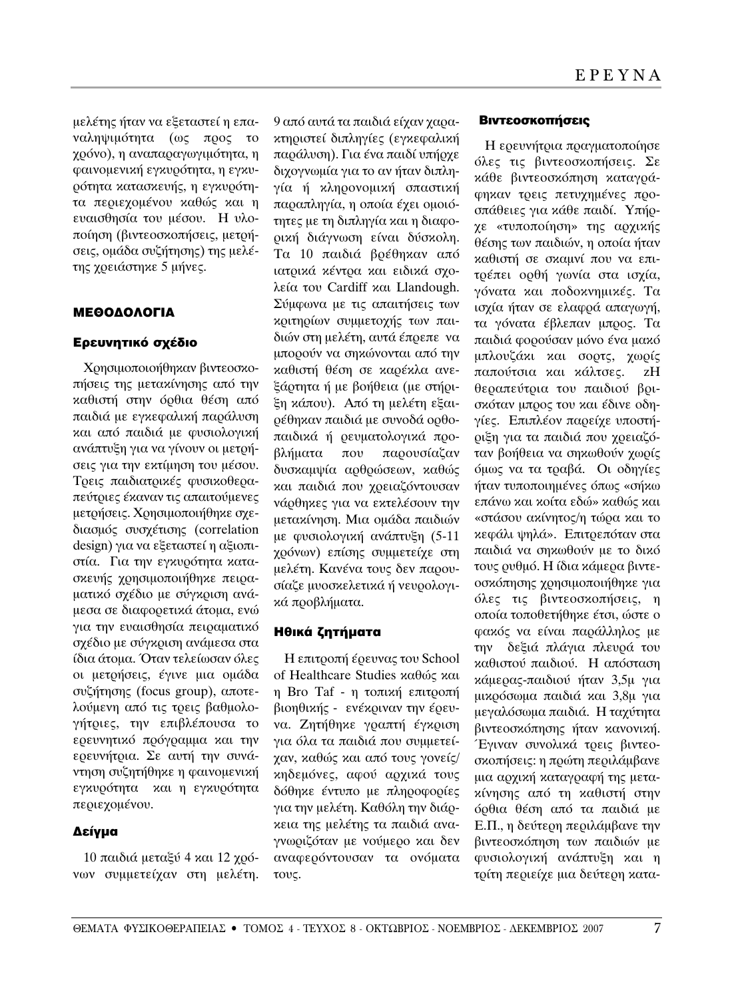μελέτης ήταν να εξεταστεί η επαναληψιμότητα (ως προς το  $\chi$ ρόνο), η αναπαραγωγιμότητα, η φαινομενική εγκυρότητα, η εγκυρότητα κατασκευής, η εγκυρότητα περιεχομένου καθώς και η εναισθησία του μέσου. Η υλοποίηση (βιντεοσκοπήσεις, μετρήσεις, ομάδα συζήτησης) της μελέτης χρειάστηκε 5 μήνες.

# ΜΕΘΟΔΟΛΟΓΙΑ

### Ερευνητικό σχέδιο

Χρησιμοποιοήθηκαν βιντεοσκοπήσεις της μετακίνησης από την καθιστή στην όρθια θέση από παιδιά με εγκεφαλική παράλυση και από παιδιά με φυσιολογική ανάπτυξη για να γίνουν οι μετρήσεις για την εκτίμηση του μέσου. Τρεις παιδιατρικές φυσικοθεραπεύτριες έκαναν τις απαιτούμενες μετρήσεις. Χρησιμοποιήθηκε σχεδιασμός συσχέτισης (correlation design) για να εξεταστεί η αξιοπιστία. Για την εγκυρότητα κατασκευής χρησιμοποιήθηκε πειραματικό σχέδιο με σύγκριση ανάμεσα σε διαφορετικά άτομα, ενώ για την ευαισθησία πειραματικό σχέδιο με σύγκριση ανάμεσα στα ίδια άτομα. Όταν τελείωσαν όλες οι μετρήσεις, έγινε μια ομάδα συζήτησης (focus group), αποτελούμενη από τις τρεις βαθμολογήτριες, την επιβλέπουσα το ερευνητικό πρόγραμμα και την ερευνήτρια. Σε αυτή την συνάντηση συζητήθηκε η φαινομενική εγκυρότητα και η εγκυρότητα περιεχομένου.

# Δείγμα

 $10 \pi$ αιδιά μεταξύ 4 και  $12 \chi$ ρόνων συμμετείχαν στη μελέτη.

9 από αυτά τα παιδιά είχαν χαρακτηριστεί διπληγίες (εγκεφαλική παράλυση). Για ένα παιδί υπήρχε διχογνωμία για το αν ήταν διπληγία ή κληρονομική σπαστική παραπληγία, η οποία έχει ομοιότητες με τη διπληγία και η διαφορική διάγνωση είναι δύσκολη. Τα 10 παιδιά βρέθηκαν από ιατρικά κέντρα και ειδικά σχολεία του Cardiff και Llandough. Σύμφωνα με τις απαιτήσεις των κριτηρίων συμμετοχής των παιδιών στη μελέτη, αυτά έπρεπε να μπορούν να σηκώνονται από την καθιστή θέση σε καρέκλα ανεξάρτητα ή με βοήθεια (με στήριξη κάπου). Από τη μελέτη εξαιρέθηκαν παιδιά με συνοδά ορθοπαιδικά ή ρευματολογικά προβλήματα που παρουσίαζαν δυσκαμψία αρθρώσεων, καθώς και παιδιά που χρειαζόντουσαν νάρθηκες για να εκτελέσουν την μετακίνηση. Μια ομάδα παιδιών με φυσιολογική ανάπτυξη (5-11 γρόνων) επίσης συμμετείχε στη μελέτη. Κανένα τους δεν παρουσίαζε μυοσκελετικά ή νευρολογικά προβλήματα.

#### Ηθικά ζητήματα

Η επιτροπή έρευνας του School of Healthcare Studies καθώς και η Bro Taf - η τοπική επιτροπή βιοηθικής - ενέκριναν την έρευνα. Ζητήθηκε γραπτή έγκριση για όλα τα παιδιά που συμμετείχαν, καθώς και από τους γονείς/ κηδεμόνες, αφού αρχικά τους δόθηκε έντυπο με πληροφορίες για την μελέτη. Καθόλη την διάρκεια της μελέτης τα παιδιά αναγνωριζόταν με νούμερο και δεν αναφερόντουσαν τα ονόματα τους.

#### **Βιντεοσκοπήσεις**

Η ερευνήτρια πραγματοποίησε όλες τις βιντεοσκοπήσεις. Σε κάθε βιντεοσκόπηση καταγράφηκαν τρεις πετυχημένες προσπάθειες για κάθε παιδί. Υπήρχε «τυποποίηση» της αρχικής θέσης των παιδιών, η οποία ήταν καθιστή σε σκαμνί που να επιτρέπει ορθή γωνία στα ισχία, γόνατα και ποδοκνημικές. Τα ισχία ήταν σε ελαφρά απαγωγή, τα γόνατα έβλεπαν μπρος. Τα παιδιά φορούσαν μόνο ένα μακό μπλουζάκι και σορτς, χωρίς παπούτσια και κάλτσες. zH θεραπεύτρια του παιδιού βρισκόταν μπρος του και έδινε οδηγίες. Επιπλέον παρείχε υποστήριξη για τα παιδιά που χρειαζόταν βοήθεια να σηκωθούν χωρίς όμως να τα τραβά. Οι οδηγίες ήταν τυποποιημένες όπως «σήκω επάνω και κοίτα εδώ» καθώς και «στάσου ακίνητος/η τώρα και το κεφάλι ψηλά». Επιτρεπόταν στα παιδιά να σηκωθούν με το δικό τους ρυθμό. Η ίδια κάμερα βιντεοσκόπησης χρησιμοποιήθηκε για όλες τις βιντεοσκοπήσεις, η οποία τοποθετήθηκε έτσι, ώστε ο φακός να είναι παράλληλος με την δεξιά πλάγια πλευρά του καθιστού παιδιού. Η απόσταση κάμερας-παιδιού ήταν 3,5μ για μικρόσωμα παιδιά και 3,8μ για μεγαλόσωμα παιδιά. Η ταχύτητα βιντεοσκόπησης ήταν κανονική. Έγιναν συνολικά τρεις βιντεοσκοπήσεις: η πρώτη περιλάμβανε μια αρχική καταγραφή της μετακίνησης από τη καθιστή στην όρθια θέση από τα παιδιά με Ε.Π., η δεύτερη περιλάμβανε την βιντεοσκόπηση των παιδιών με φυσιολογική ανάπτυξη και η τρίτη περιείχε μια δεύτερη κατα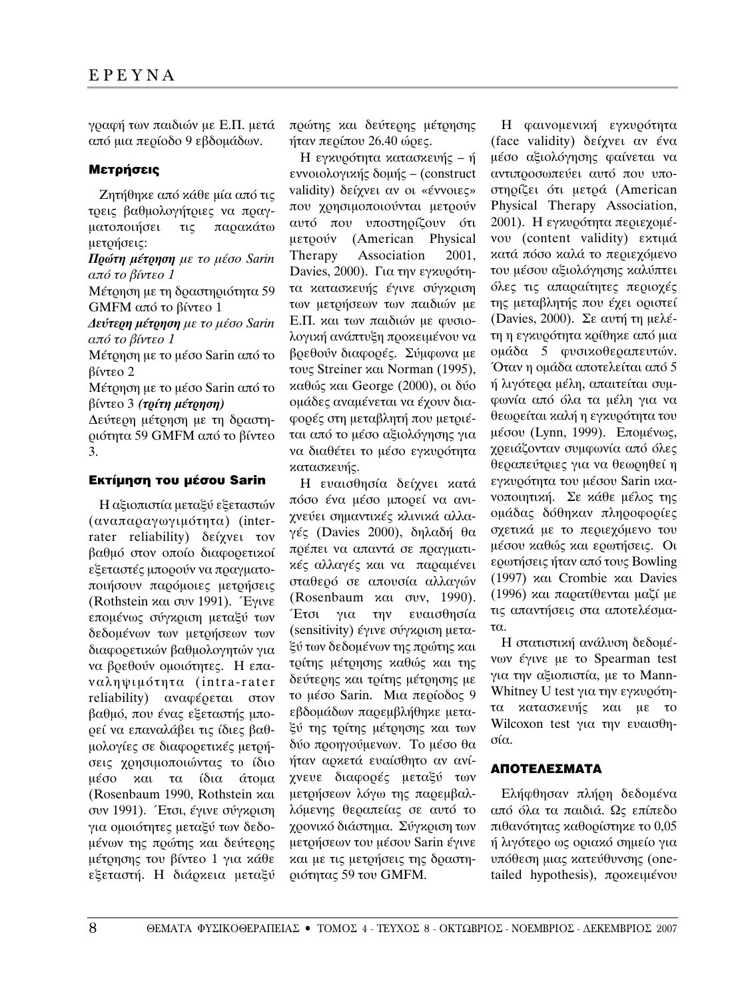γραφή των παιδιών με Ε.Π. μετά από μια περίοδο 9 εβδομάδων.

### Μετρήσεις

Zητήθηκε από κάθε μία από τις τρεις βαθμολογήτριες να πραγματοποιήσει τις παρακάτω μετρήσεις:

**Πρώτη μέτρηση** με το μέσο Sarin  $a\pi$ ό το βίντεο 1

Μέτρηση με τη δραστηριότητα 59 GMFM από το βίντεο 1

 $\Delta$ *εύτερη μέτρηση με το μέσο Sarin από το βίντεο 1* 

Μέτρηση με το μέσο Sarin από το βίντεο 2

Mέτρηση με το μέσο Sarin από το  $\beta$ ίντεο 3 *(τρίτη μέτρηση)* 

Δεύτερη μέτρηση με τη δραστηριότητα 59 GMFM από το βίντεο 3.

# **Εκτίμηση του μέσου Sarin**

Η αξιοπιστία μεταξύ εξεταστών (αναπαραγωγιμότητα) (interrater reliability) δείχνει τον βαθμό στον οποίο διαφορετικοί εξεταστές μπορούν να πραγματοποιήσουν παρόμοιες μετρήσεις (Rothstein  $x\alpha$  over 1991). Equve επομένως σύγκριση μεταξύ των δεδομένων των μετρήσεων των διαφορετικών βαθμολογητών για να βρεθούν ομοιότητες. Η επαvαληψιμότητα (intra-rater reliability) αναφέρεται στον βαθμό, που ένας εξεταστής μπορεί να επαναλάβει τις ίδιες βαθμολογίες σε διαφορετικές μετρήσεις χρησιμοποιώντας το ίδιο μέσο και τα ίδια άτομα (Rosenbaum 1990, Rothstein και συν 1991). Έτσι, έγινε σύγκριση για ομοιότητες μεταξύ των δεδομένων της πρώτης και δεύτερης μέτρησης του βίντεο 1 για κάθε εξεταστή. Η διάρκεια μεταξύ

πρώτης και δεύτερης μέτρησης ήταν περίπου  $26.40$  ώρες.

Η εγκυρότητα κατασκευής – ή εννοιολογικής δομής – (construct validity) δείχνει αν οι «έννοιες» που χρησιμοποιούνται μετρούν αυτό που υποστηρίζουν ότι μετρούν (American Physical Therapy Association 2001, Davies, 2000). Гια την εγκυρότητα κατασκευής έγινε σύγκριση των μετρήσεων των παιδιών με Ε.Π. και των παιδιών με φυσιολογική ανάπτυξη προκειμένου να βρεθούν διαφορές. Σύμφωνα με τους Streiner και Norman (1995),  $\alpha\theta$ ώς και George (2000), οι δύο ομάδες αναμένεται να έχουν διαφορές στη μεταβλητή που μετριέται από το μέσο αξιολόγησης για να διαθέτει το μέσο εγκυρότητα κατασκευής.

H ευαισθησία δείχνει κατά πόσο ένα μέσο μπορεί να ανιχνεύει σημαντικές κλινικά αλλαγές (Davies 2000), δηλαδή θα πρέπει να απαντά σε πραγματικές αλλαγές και να παραμένει σταθερό σε απουσία αλλαγών (Rosenbaum  $x\alpha$ ,  $\sigma$ vv, 1990). Έτσι για την ευαισθησία (sensitivity) έγινε σύγκριση μεταξύ των δεδομένων της πρώτης και τρίτης μέτρησης καθώς και της δεύτερης και τρίτης μέτρησης με το μέσο Sarin. Μια περίοδος 9 εβδομάδων παρεμβλήθηκε μεταξύ της τρίτης μέτρησης και των δύο προηγούμενων. Το μέσο θα ήταν αρχετά ευαίσθητο αν ανίγνευε διαφορές μεταξύ των μετρήσεων λόγω της παρεμβαλλόμενης θεραπείας σε αυτό το χρονικό διάστημα. Σύγκριση των μετρήσεων του μέσου Sarin έγινε και με τις μετρήσεις της δραστηριότητας 59 του GMFM.

Η φαινομενική εγκυρότητα (face validity) δείχνει αν ένα μέσο αξιολόγησης φαίνεται να αντιπροσωπεύει αυτό που υποστηρίζει ότι μετρά (American Physical Therapy Association, 2001). Η εγκυρότητα περιεχομέvov (content validity) εκτιμά κατά πόσο καλά το περιεχόμενο του μέσου αξιολόγησης καλύπτει όλες τις απαραίτητες περιοχές της μεταβλητής που έγει οριστεί (Davies, 2000). Σε αυτή τη μελέτη η εγκυρότητα κρίθηκε από μια ομάδα 5 φυσικοθεραπευτών. Όταν η ομάδα αποτελείται από 5 ή λιγότερα μέλη, απαιτείται συμφωνία από όλα τα μέλη για να θεωρείται καλή η εγκυρότητα του μέσου (Lynn, 1999). Επομένως, χρειάζονταν συμφωνία από όλες θεραπεύτριες για να θεωρηθεί η εγκυρότητα του μέσου Sarin ικανοποιητική. Σε κάθε μέλος της ομάδας δόθηκαν πληροφορίες σχετικά με το περιεχόμενο του μέσου καθώς και ερωτήσεις. Οι ερωτήσεις ήταν από τους Bowling (1997)  $\kappa$  Crombie  $\kappa$  at Davies (1996) και παρατίθενται μαζί με τις απαντήσεις στα αποτελέσμα- $\tau\alpha$ .

Η στατιστική ανάλυση δεδομένων έγινε με το Spearman test για την αξιοπιστία, με το Mann-Whitney U test για την εγκυρότητα κατασκευής και με το Wilcoxon test για την ευαισθησία.

#### AΠΟΤΕΛΕΣΜΑΤΑ

Eλήφθησαν πλήρη δεδομένα από όλα τα παιδιά. Ως επίπεδο  $\pi\theta\alpha\gamma\delta\eta\tau\alpha\zeta$  καθορίστηκε το 0,05 ή λιγότερο ως οριακό σημείο για υπόθεση μιας κατεύθυνσης (onetailed hypothesis), προκειμένου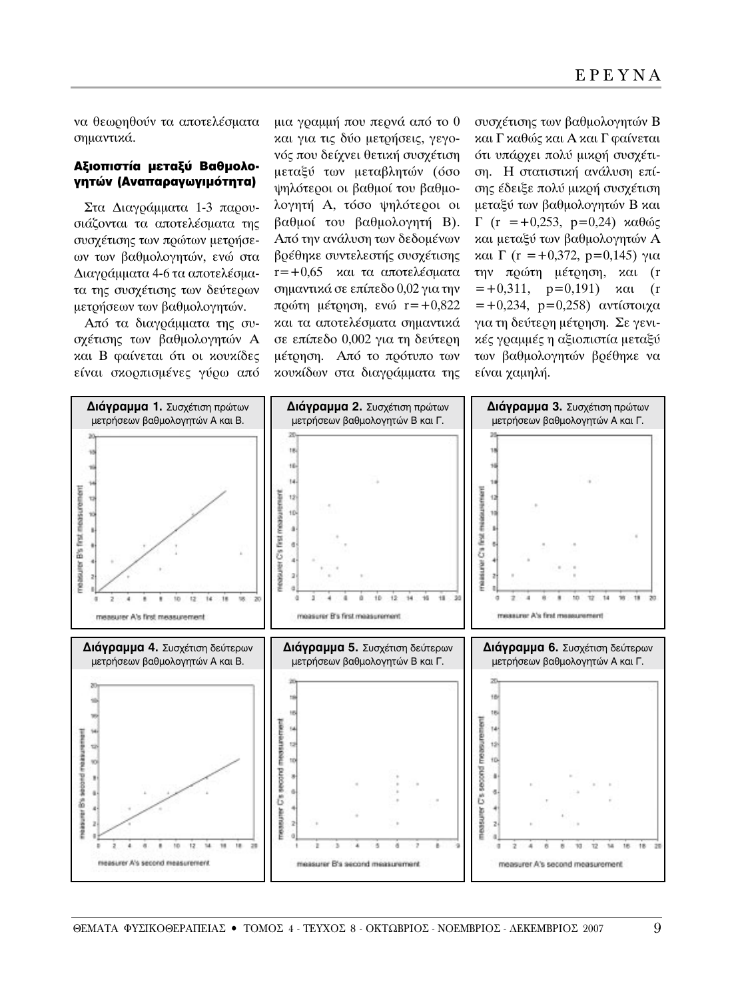να θεωρηθούν τα αποτελέσματα σημαντικά.

#### Αξιοπιστία μεταξύ Βαθμολογητών (Αναπαραγωγιμότητα)

Στα Διαγράμματα 1-3 παρουσιάζονται τα αποτελέσματα της συσχέτισης των πρώτων μετρήσεων των βαθμολογητών, ενώ στα Διαγράμματα 4-6 τα αποτελέσματα της συσχέτισης των δεύτερων μετρήσεων των βαθμολογητών.

Από τα διαγράμματα της συσχέτισης των βαθμολογητών Α και Β φαίνεται ότι οι κουκίδες είναι σκορπισμένες γύρω από μια γραμμή που περνά από το 0 και για τις δύο μετρήσεις, γεγονός που δείχνει θετική συσχέτιση μεταξύ των μεταβλητών (όσο ψηλότεροι οι βαθμοί του βαθμολογητή Α, τόσο ψηλότεροι οι βαθμοί του βαθμολογητή Β). Από την ανάλυση των δεδομένων βρέθηκε συντελεστής συσχέτισης  $r=+0.65$  και τα αποτελέσματα σημαντικά σε επίπεδο 0,02 για την πρώτη μέτρηση, ενώ  $r=+0,822$ και τα αποτελέσματα σημαντικά σε επίπεδο 0,002 για τη δεύτερη μέτρηση. Από το πρότυπο των κουκίδων στα διαγράμματα της

συσχέτισης των βαθμολογητών Β και Γ καθώς και Α και Γ φαίνεται ότι υπάρχει πολύ μικρή συσχέτιση. Η στατιστική ανάλυση επίσης έδειξε πολύ μικρή συσχέτιση μεταξύ των βαθμολογητών Β και  $\Gamma$  (r = +0,253, p=0,24) καθώς και μεταξύ των βαθμολογητών Α  $\alpha$ αι Γ (r = +0,372, p=0,145) για την πρώτη μέτρηση, και (r  $=+0.311$ ,  $p=0.191$ )  $\kappa \alpha \iota$  (r  $=+0,234, p=0,258$ ) αντίστοιχα για τη δεύτερη μέτρηση. Σε γενικές γραμμές η αξιοπιστία μεταξύ των βαθμολογητών βρέθηκε να είναι χαμηλή.

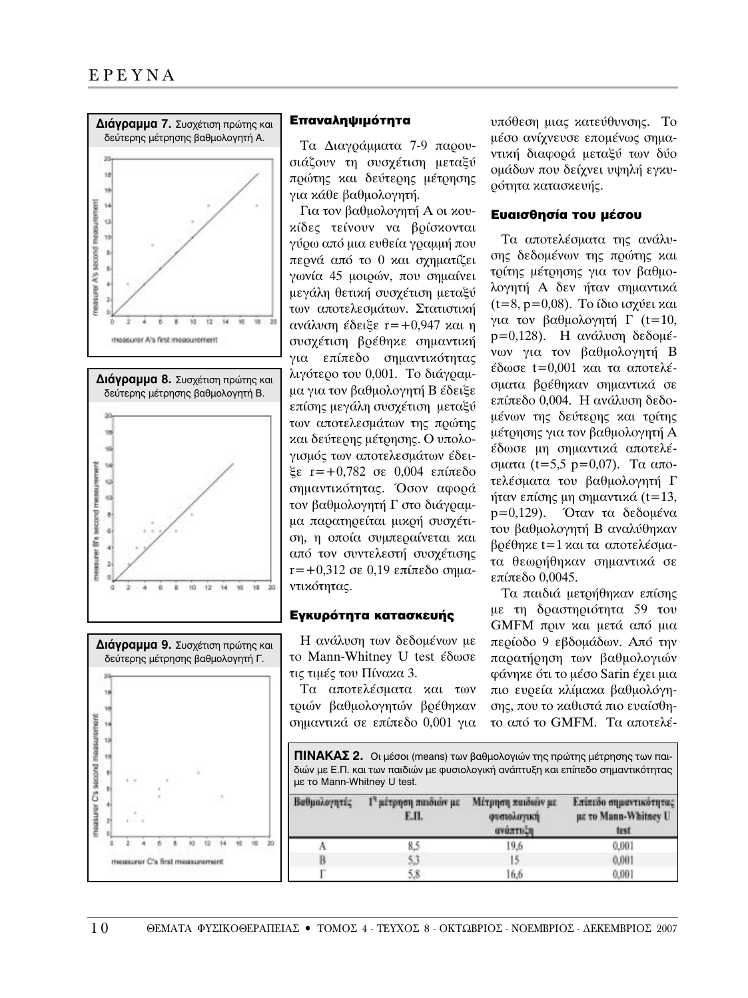





### Επαναληψιμότητα

Τα Διαγράμματα 7-9 παρουσιάζουν τη συσχέτιση μεταξύ πρώτης και δεύτερης μέτρησης για κάθε βαθμολογητή.

Για τον βαθμολογητή Α οι κουκίδες τείνουν να βρίσκονται γύρω από μια ευθεία γραμμή που περνά από το 0 και σχηματίζει γωνία 45 μοιρών, που σημαίνει μεγάλη θετική συσχέτιση μεταξύ των αποτελεσμάτων. Στατιστική ανάλυση έδειξε  $r=+0.947$  και η συσχέτιση βρέθηκε σημαντική για επίπεδο σημαντικότητας λιγότερο του 0,001. Το διάγραμμα για τον βαθμολογητή Β έδειξε επίσης μεγάλη συσχέτιση μεταξύ των αποτελεσμάτων της πρώτης και δεύτερης μέτρησης. Ο υπολογισμός των αποτελεσμάτων έδει $ξε$  r=+0,782 σε 0,004 επίπεδο σημαντικότητας. Όσον αφορά τον βαθμολογητή Γ στο διάγραμμα παρατηρείται μικρή συσχέτιση, η οποία συμπεραίνεται και από τον συντελεστή συσχέτισης  $r=+0.312$  σε 0.19 επίπεδο σημαντικότητας.

# Εγκυρότητα κατασκευής

Η ανάλυση των δεδομένων με το Mann-Whitney U test έδωσε τις τιμές του Πίνακα 3.

Τα αποτελέσματα και των τριών βαθμολογητών βρέθηκαν σημαντικά σε επίπεδο 0,001 για υπόθεση μιας κατεύθυνσης. Το μέσο ανίχνευσε επομένως σημαντική διαφορά μεταξύ των δύο ομάδων που δείχνει υψηλή εγκυοότητα κατασκευής.

# Ευαισθησία του μέσου

Τα αποτελέσματα της ανάλυσης δεδομένων της πρώτης και τρίτης μέτρησης για τον βαθμολογητή Α δεν ήταν σημαντικά  $(t=8, p=0.08)$ . Το ίδιο ισχύει και για τον βαθμολογητή Γ (t=10,  $p=0,128$ ). Η ανάλυση δεδομένων για τον βαθμολογητή Β  $εδωσε$  t=0,001 και τα αποτελέσματα βρέθηκαν σημαντικά σε επίπεδο 0,004. Η ανάλυση δεδομένων της δεύτερης και τρίτης μέτρησης για τον βαθμολογητή Α έδωσε μη σημαντικά αποτελέοματα (t=5,5 p=0,07). Τα αποτελέσματα του βαθμολογητή Γ ήταν επίσης μη σημαντικά  $(t=13,$ p=0,129). Όταν τα δεδομένα του βαθμολογητή Β αναλύθηκαν  $\beta$ ρέθηκε t=1 και τα αποτελέσματα θεωρήθηκαν σημαντικά σε  $επ$ ίπεδο 0.0045.

Τα παιδιά μετρήθηκαν επίσης με τη δραστηριότητα 59 του GMFM πριν και μετά από μια περίοδο 9 εβδομάδων. Από την παρατήρηση των βαθμολογιών φάνηκε ότι το μέσο Sarin έχει μια πιο ευρεία κλίμακα βαθμολόγησης, που το καθιστά πιο ευαίσθητο από το GMFM. Τα αποτελέ-

**ΠΙΝΑΚΑΣ 2.** Oι μέσοι (means) των βαθμολογιών της πρώτης μέτρησης των παιδιών με Ε.Π. και των παιδιών με φυσιολογική ανάπτυξη και επίπεδο σημαντικότητας με το Mann-Whitney U test.

| Βαθμολογητές | 1" μέτρηση παιδιών με<br>Е.П. | Μέτρηση παιδιών με<br>φυσιολογική<br>ανάπτυξη | Επίπεδο σημαντικότητας<br>με το Mann-Whitney U<br>test |
|--------------|-------------------------------|-----------------------------------------------|--------------------------------------------------------|
|              | 8.5                           | 19.6                                          | 0.001                                                  |
| B            | 5.3                           | 15.                                           | 0,001                                                  |
|              |                               | 16.6                                          | 0.001                                                  |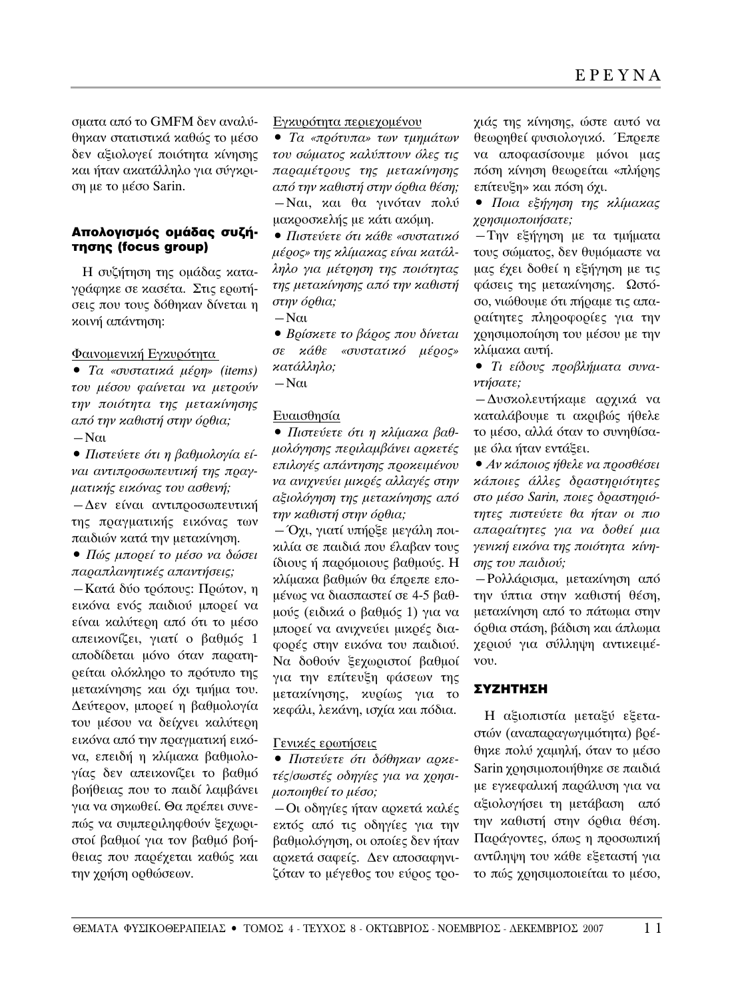σματα από το GMFM δεν αναλύθηκαν στατιστικά καθώς το μέσο δεν αξιολογεί ποιότητα κίνησης και ήταν ακατάλληλο για σύγκριση με το μέσο Sarin.

# Απολογισμός ομάδας συζήτησης (focus group)

Η συζήτηση της ομάδας καταγράφηκε σε κασέτα. Στις ερωτήσεις που τους δόθηκαν δίνεται η κοινή απάντηση:

#### Φαινομενική Εγκυρότητα

**•** *Τα «συστατικά μέρη» (items) ÙÔ˘ ̤ÛÔ˘ Ê·›ÓÂÙ·È Ó· ÌÂÙÚÔ‡Ó* την ποιότητα της μετακίνησης *από την καθιστή στην όρθια*;  $-N\alpha$ 

**•** Πιστεύετε ότι η βαθμολογία εί*ναι αντιπροσωπευτική της πραγ-* $\mu$ ατικής εικόνας του ασθενή;  $-\Delta$ εν είναι αντιπροσωπευτική της πραγματικής εικόνας των παιδιών κατά την μετακίνηση.

**•** Πώς μπορεί το μέσο να δώσει  $\pi$ αραπλανητικές απαντήσεις;

— Κατά δύο τρόπους: Πρώτον, η εικόνα ενός παιδιού μπορεί να είναι καλύτερη από ότι το μέσο απεικονίζει, γιατί ο βαθμός 1 αποδίδεται μόνο όταν παρατηρείται ολόκληρο το πρότυπο της μεταχίνησης και όχι τμήμα του. Δεύτερον, μπορεί η βαθμολογία του μέσου να δείχνει καλύτερη εικόνα από την πραγματική εικόνα, επειδή η κλίμακα βαθμολογίας δεν απεικονίζει το βαθμό βοήθειας που το παιδί λαμβάνει για να σηκωθεί. Θα πρέπει συνεπώς να συμπεριληφθούν ξεχωριστοί βαθμοί για τον βαθμό βοήθειας που παρέχεται καθώς και την χρήση ορθώσεων.

# Εγκυρότητα περιεχομένου

<sup>●</sup> *Tα «πρότυπα» των τμημάτων* του σώματος καλύπτουν όλες τις *παραμέτρους της μετακίνησης από την καθιστή στην όρθια θέση;*  $-N\alpha$ ι, και θα γινόταν πολύ μακροσκελής με κάτι ακόμη.

**•** Πιστεύετε ότι κάθε «συστατικό  $\mu$ έρος» της κλίμακας είναι κατάλ*ληλο για μέτρηση της ποιότητας της μετακίνησης από την καθιστή στην όρθια*;

 $-N\alpha$ 

**•** Βρίσκετε το βάρος που δίνεται *Û οı «Û˘ÛÙ·ÙÈÎfi ̤ÚÔ˜»* κατάλληλο;

 $-N\alpha$ 

### Eυαισθησία

**•** Πιστεύετε ότι η κλίμακα βαθ- $\mu$ ολόγησης περιλαμβάνει αρκετές *επιλογές απάντησης προκειμένου να ανιχνεύει μικρές αλλαγές στην αξιολόγηση της μετακίνησης από την καθιστή στην όρθια;* 

— Όχι, γιατί υπήρξε μεγάλη ποικιλία σε παιδιά που έλαβαν τους ίδιους ή παρόμοιους βαθμούς. Η κλίμακα βαθμών θα έπρεπε επομένως να διασπαστεί σε 4-5 βαθμούς (ειδικά ο βαθμός 1) για να μπορεί να ανιχνεύει μικρές διαφορές στην εικόνα του παιδιού. Να δοθούν ξεχωριστοί βαθμοί για την επίτευξη φάσεων της μετακίνησης, κυρίως για το κεφάλι, λεκάνη, ισχία και πόδια.

#### Γενικές ερωτήσεις

**•** Πιστεύετε ότι δόθηκαν αρκετές/σωστές οδηγίες για να χρησιμοποιηθεί το μέσο;

 $-$ Οι οδηγίες ήταν αρκετά καλές εκτός από τις οδηγίες για την βαθμολόγηση, οι οποίες δεν ήταν αρκετά σαφείς. Δεν αποσαφηνιζόταν το μέγεθος του εύρος τρογιάς της κίνησης, ώστε αυτό να θεωρηθεί φυσιολογικό. Έπρεπε να αποφασίσουμε μόνοι μας πόση κίνηση θεωρείται «πλήρης επίτευξη» και πόση όχι.

**•** Ποια εξήγηση της κλίμακας χρησιμοποιήσατε;

— Την εξήγηση με τα τμήματα τους σώματος, δεν θυμόμαστε να μας έχει δοθεί η εξήγηση με τις φάσεις της μεταχίνησης. Ωστόσο, νιώθουμε ότι πήραμε τις απαραίτητες πληροφορίες για την χρησιμοποίηση του μέσου με την κλίμακα αυτή.

• *Τι είδους προβλήματα συναντήσατε*;

— Δυσκολευτήκαμε αρχικά να καταλάβουμε τι ακριβώς ήθελε το μέσο, αλλά όταν το συνηθίσαμε όλα ήταν εντάξει.

● Αν κάποιος ήθελε να προσθέσει κάποιες άλλες δραστηριότητες στο μέσο Sarin, ποιες δραστηριότητες πιστεύετε θα ήταν οι πιο *απαραίτητες για να δοθεί μια* γενική εικόνα της ποιότητα κίνη- $\sigma$ ης του παιδιού;

— Ρολλάρισμα, μετακίνηση από την ύπτια στην καθιστή θέση, μετακίνηση από το πάτωμα στην όρθια στάση, βάδιση και άπλωμα γεριού για σύλληψη αντικειμέvov.

# ΣΥΖΗΤΗΣΗ

Η αξιοπιστία μεταξύ εξεταστών (αναπαραγωγιμότητα) βρέθηκε πολύ χαμηλή, όταν το μέσο Sarin χρησιμοποιήθηκε σε παιδιά με εγκεφαλική παράλυση για να αξιολογήσει τη μετάβαση από την καθιστή στην όρθια θέση. Παράγοντες, όπως η προσωπική αντίληψη του κάθε εξεταστή για το πώς χρησιμοποιείται το μέσο,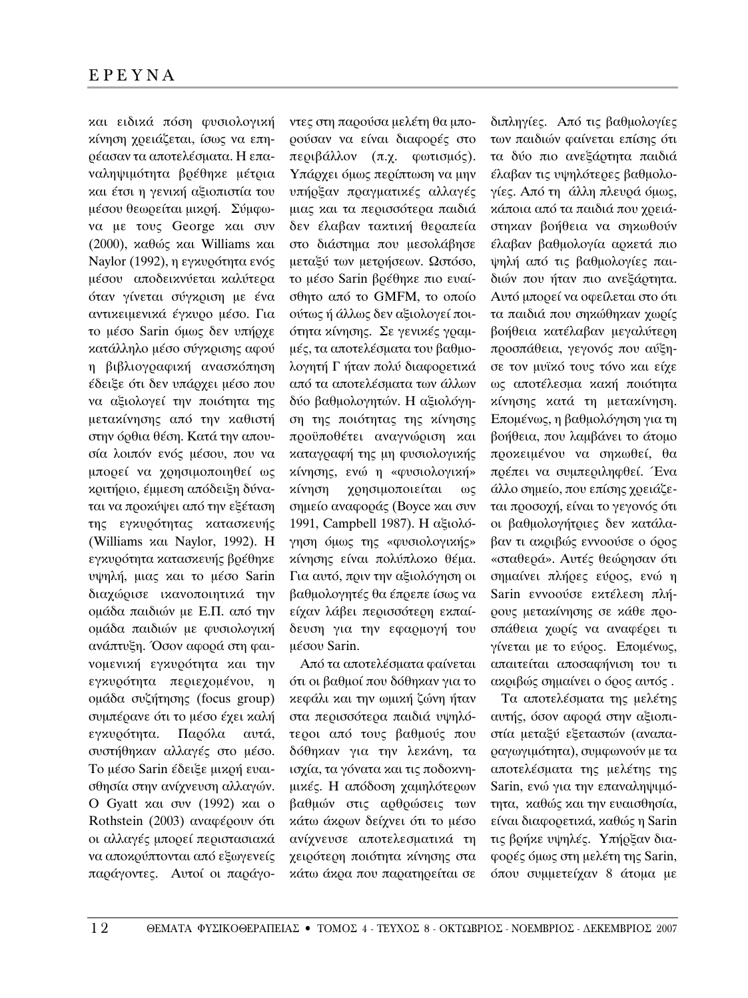και ειδικά πόση φυσιολογική κίνηση χρειάζεται, ίσως να επηρέασαν τα αποτελέσματα. Η επαναληψιμότητα βρέθηκε μέτρια και έτσι η γενική αξιοπιστία του μέσου θεωρείται μικρή. Σύμφωνα με τους George και συν (2000),  $\alpha \theta$ ώς και Williams και Naylor (1992), η εγκυρότητα ενός μέσου αποδεικνύεται καλύτερα όταν γίνεται σύγκριση με ένα αντικειμενικά έγκυρο μέσο. Για το μέσο Sarin όμως δεν υπήρχε κατάλληλο μέσο σύγκρισης αφού η βιβλιογραφική ανασκόπηση έδειξε ότι δεν υπάρχει μέσο που να αξιολογεί την ποιότητα της μετακίνησης από την καθιστή στην όρθια θέση. Κατά την απουσία λοιπόν ενός μέσου, που να μπορεί να χρησιμοποιηθεί ως κριτήριο, έμμεση απόδειξη δύναται να προκύψει από την εξέταση της εγκυρότητας κατασκευής (Williams  $χαι$  Naylor, 1992). Η εγκυρότητα κατασκευής βρέθηκε υψηλή, μιας και το μέσο Sarin διαχώρισε ικανοποιητικά την ομάδα παιδιών με Ε.Π. από την ομάδα παιδιών με φυσιολογική ανάπτυξη. Όσον αφορά στη φαινομενική εγκυρότητα και την εγκυρότητα περιεχομένου, η ομάδα συζήτησης (focus group) συμπέρανε ότι το μέσο έχει καλή εγκυρότητα. Παρόλα αυτά, συστήθηκαν αλλαγές στο μέσο. Το μέσο Sarin έδειξε μικρή ευαισθησία στην ανίχνευση αλλαγών. O Gyatt  $x\alpha$ u ovv (1992)  $x\alpha$ u o Rothstein (2003) αναφέρουν ότι οι αλλαγές μπορεί περιστασιακά να αποκρύπτονται από εξωγενείς παράγοντες. Αυτοί οι παράγο-

ντες στη παρούσα μελέτη θα μπορούσαν να είναι διαφορές στο περιβάλλον (π.χ. φωτισμός). Υπάρχει όμως περίπτωση να μην υπήρξαν πραγματικές αλλαγές μιας και τα περισσότερα παιδιά δεν έλαβαν τακτική θεραπεία στο διάστημα που μεσολάβησε μεταξύ των μετρήσεων. Ωστόσο, το μέσο Sarin βρέθηκε πιο ευαίσθητο από το GMFM, το οποίο ούτως ή άλλως δεν αξιολογεί ποιότητα κίνησης. Σε γενικές γραμμές, τα αποτελέσματα του βαθμολογητή Γ ήταν πολύ διαφορετικά από τα αποτελέσματα των άλλων δύο βαθμολογητών. Η αξιολόγηση της ποιότητας της κίνησης προϋποθέτει αναγνώριση και καταγραφή της μη φυσιολογικής κίνησης, ενώ η «φυσιολογική» κίνηση χρησιμοποιείται ως σημείο αναφοράς (Boyce και συν 1991, Campbell 1987). Η αξιολόγηση όμως της «φυσιολογικής» κίνησης είναι πολύπλοκο θέμα. Για αυτό, πριν την αξιολόγηση οι βαθμολογητές θα έπρεπε ίσως να είχαν λάβει περισσότερη εκπαίδευση για την εφαρμογή του μέσου Sarin.

Από τα αποτελέσματα φαίνεται ότι οι βαθμοί που δόθηκαν για το κεφάλι και την ωμική ζώνη ήταν στα περισσότερα παιδιά υψηλότεροι από τους βαθμούς που δόθηκαν για την λεκάνη, τα ισχία, τα γόνατα και τις ποδοκνημικές. Η απόδοση χαμηλότερων βαθμών στις αρθρώσεις των κάτω άκρων δείχνει ότι το μέσο ανίχνευσε αποτελεσματικά τη χειρότερη ποιότητα κίνησης στα κάτω άκρα που παρατηρείται σε

διπληγίες. Από τις βαθμολογίες των παιδιών φαίνεται επίσης ότι τα δύο πιο ανεξάρτητα παιδιά ελαβαν τις υψηλότερες βαθμολογίες. Από τη άλλη πλευρά όμως, κάποια από τα παιδιά που χρειάστηκαν βοήθεια να σηκωθούν ελαβαν βαθμολογία αρκετά πιο ψηλή από τις βαθμολογίες παιδιών που ήταν πιο ανεξάρτητα. Αυτό μπορεί να οφείλεται στο ότι τα παιδιά που σηκώθηκαν χωρίς βοήθεια κατέλαβαν μεγαλύτερη προσπάθεια, γεγονός που αύξησε τον μυϊκό τους τόνο και είχε ως αποτέλεσμα κακή ποιότητα κίνησης κατά τη μετακίνηση. Eπομένως, η βαθμολόγηση για τη βοήθεια, που λαμβάνει το άτομο προκειμένου να σηκωθεί, θα πρέπει να συμπεριληφθεί. Ένα άλλο σημείο, που επίσης χρειάζεται προσοχή, είναι το γεγονός ότι οι βαθμολογήτριες δεν κατάλαβαν τι ακριβώς εννοούσε ο όρος «σταθερά». Αυτές θεώρησαν ότι σημαίνει πλήρες εύρος, ενώ η Sarin εννοούσε εκτέλεση πλήρους μεταχίνησης σε χάθε προσπάθεια χωρίς να αναφέρει τι γίνεται με το εύρος. Επομένως, απαιτείται αποσαφήνιση του τι ακοιβώς σημαίνει ο όρος αυτός.

Τα αποτελέσματα της μελέτης αυτής, όσον αφορά στην αξιοπιστία μεταξύ εξεταστών (αναπαραγωγιμότητα), συμφωνούν με τα αποτελέσματα της μελέτης της Sarin, ενώ για την επαναληψιμότητα, καθώς και την ευαισθησία, είναι διαφορετικά, καθώς η Sarin τις βρήκε υψηλές. Υπήρξαν διαφορές όμως στη μελέτη της Sarin, όπου συμμετείχαν 8 άτομα με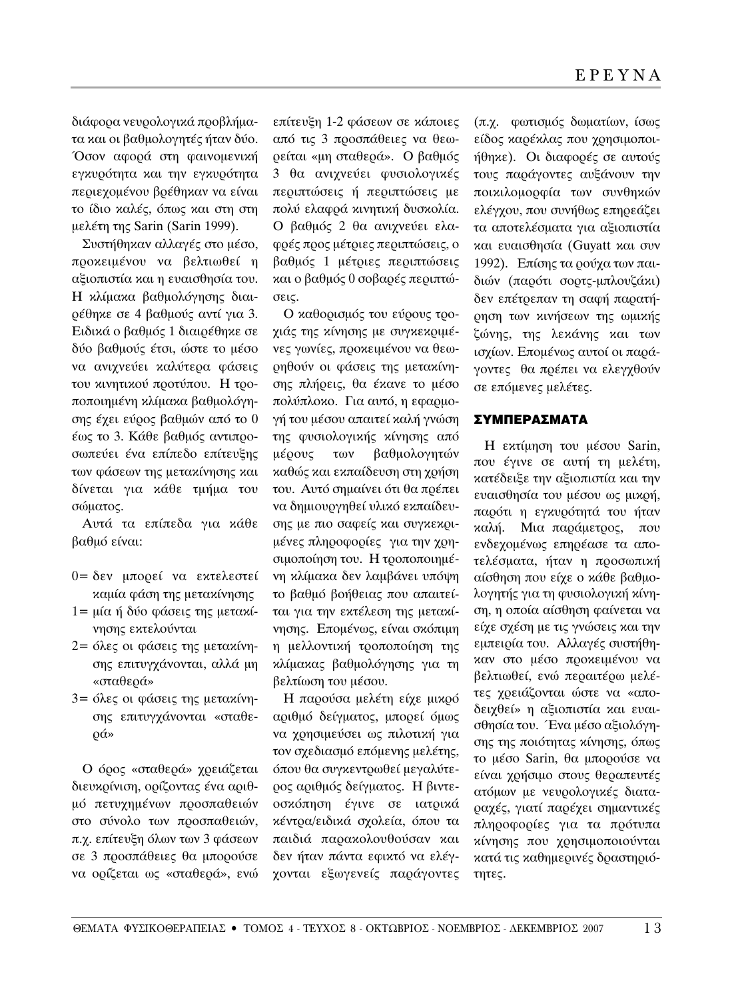διάφορα νευρολογικά προβλήματα και οι βαθμολογητές ήταν δύο. Όσον αφορά στη φαινομενική εγκυρότητα και την εγκυρότητα περιεχομένου βρέθηκαν να είναι το ίδιο καλές, όπως και στη στη μελέτη της Sarin (Sarin 1999).

Συστήθηκαν αλλαγές στο μέσο, προκειμένου να βελτιωθεί η αξιοπιστία και η ευαισθησία του. Η κλίμακα βαθμολόγησης διαιρέθηκε σε 4 βαθμούς αντί για 3. Ειδικά ο βαθμός 1 διαιρέθηκε σε δύο βαθμούς έτσι, ώστε το μέσο να ανιχνεύει καλύτερα φάσεις του κινητικού προτύπου. Η τροποποιημένη κλίμακα βαθμολόγησης έχει εύρος βαθμών από το 0 έως το 3. Κάθε βαθμός αντιπροσωπεύει ένα επίπεδο επίτευξης των φάσεων της μετακίνησης και δίνεται για κάθε τμήμα του σώματος.

Αυτά τα επίπεδα για κάθε  $\beta\alpha\theta\mu$ ό είναι:

- 0= δεν μπορεί να εκτελεστεί καμία φάση της μετακίνησης
- $1 = \mu(\alpha \nmid \delta\n\omega)$  φάσεις της μεταχίνησης εκτελούνται
- 2= όλες οι φάσεις της μετακίνησης επιτυγχάνονται, αλλά μη «σταθερά»
- 3= όλες οι φάσεις της μετακίνησης επιτυγχάνονται «σταθε-Ú¿»

O όρος «σταθερά» χρειάζεται διευκρίνιση, ορίζοντας ένα αριθμό πετυχημένων προσπαθειών στο σύνολο των προσπαθειών, π.γ. επίτευξη όλων των 3 φάσεων σε 3 προσπάθειες θα μπορούσε να ορίζεται ως «σταθερά», ενώ

επίτευξη 1-2 φάσεων σε κάποιες από τις 3 προσπάθειες να θεωρείται «μη σταθερά». Ο βαθμός 3 θα ανιχνεύει φυσιολογικές περιπτώσεις ή περιπτώσεις με πολύ ελαφρά κινητική δυσκολία. Ο βαθμός 2 θα ανιχνεύει ελαφρές προς μέτριες περιπτώσεις, ο βαθμός 1 μέτριες περιπτώσεις και ο βαθμός 0 σοβαρές περιπτώ-OELC.

Ο καθορισμός του εύρους τροχιάς της κίνησης με συγκεκριμένες γωνίες, προκειμένου να θεωρηθούν οι φάσεις της μετακίνησης πλήρεις, θα έκανε το μέσο πολύπλοκο. Για αυτό, η εφαρμογή του μέσου απαιτεί καλή γνώση της φυσιολογικής κίνησης από μέρους των βαθμολογητών καθώς και εκπαίδευση στη χρήση του. Αυτό σημαίνει ότι θα πρέπει να δημιουργηθεί υλικό εκπαίδευσης με πιο σαφείς και συγκεκριμένες πληροφορίες για την χρησιμοποίηση του. Η τροποποιημένη κλίμακα δεν λαμβάνει υπόψη το βαθμό βοήθειας που απαιτείται για την εκτέλεση της μετακίνησης. Επομένως, είναι σκόπιμη η μελλοντική τροποποίηση της κλίμακας βαθμολόγησης για τη βελτίωση του μέσου.

Η παρούσα μελέτη είχε μικρό αριθμό δείγματος, μπορεί όμως να χρησιμεύσει ως πιλοτική για τον σχεδιασμό επόμενης μελέτης, όπου θα συγκεντρωθεί μεγαλύτερος αριθμός δείγματος. Η βιντεοσκόπηση έγινε σε ιατρικά κέντρα/ειδικά σχολεία, όπου τα παιδιά παρακολουθούσαν και δεν ήταν πάντα εφικτό να ελέγχονται εξωγενείς παράγοντες

(π.χ. φωτισμός δωματίων, ίσως είδος καρέκλας που χρησιμοποιήθηκε). Oι διαφορές σε αυτούς τους παράγοντες αυξάνουν την ποικιλομορφία των συνθηκών ελέγχου, που συνήθως επηρεάζει τα αποτελέσματα για αξιοπιστία και εναισθησία (Guyatt και συν 1992). Επίσης τα ρούχα των παιδιών (παρότι σορτς-μπλουζάκι) δεν επέτρεπαν τη σαφή παρατήρηση των κινήσεων της ωμικής ζώνης, της λεκάνης και των ισχίων. Επομένως αυτοί οι παράγοντες θα πρέπει να ελεγγθούν σε επόμενες μελέτες.

# ΣΥΜΠΕΡΑ**ΣΜΑΤΑ**

Η εκτίμηση του μέσου Sarin, που έγινε σε αυτή τη μελέτη, κατέδειξε την αξιοπιστία και την εναισθησία του μέσου ως μικρή, παρότι η εγκυρότητά του ήταν καλή. Μια παράμετρος, που ενδεχομένως επηρέασε τα αποτελέσματα, ήταν η προσωπική αίσθηση που είχε ο κάθε βαθμολογητής για τη φυσιολογική κίνηση, η οποία αίσθηση φαίνεται να είχε σχέση με τις γνώσεις και την εμπειρία του. Αλλαγές συστήθηκαν στο μέσο προκειμένου να βελτιωθεί, ενώ περαιτέρω μελέτες χρειάζονται ώστε να «αποδειχθεί» η αξιοπιστία και ευαισθησία του. Ένα μέσο αξιολόγησης της ποιότητας κίνησης, όπως το μέσο Sarin, θα μπορούσε να είναι χρήσιμο στους θεραπευτές ατόμων με νευρολογικές διαταραχές, γιατί παρέχει σημαντικές πληροφορίες για τα πρότυπα κίνησης που χρησιμοποιούνται κατά τις καθημερινές δραστηριότητες.